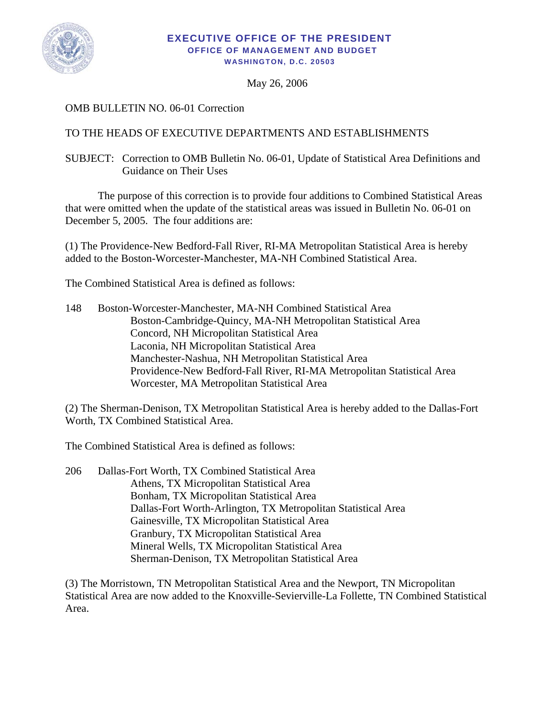

## **EXECUTIVE OFFICE OF THE PRESIDENT OFFICE OF MANAGEMENT AND BUDGET WASHINGTON, D.C. 20503**

May 26, 2006

## OMB BULLETIN NO. 06-01 Correction

## TO THE HEADS OF EXECUTIVE DEPARTMENTS AND ESTABLISHMENTS

## SUBJECT: Correction to OMB Bulletin No. 06-01, Update of Statistical Area Definitions and Guidance on Their Uses

 The purpose of this correction is to provide four additions to Combined Statistical Areas that were omitted when the update of the statistical areas was issued in Bulletin No. 06-01 on December 5, 2005. The four additions are:

(1) The Providence-New Bedford-Fall River, RI-MA Metropolitan Statistical Area is hereby added to the Boston-Worcester-Manchester, MA-NH Combined Statistical Area.

The Combined Statistical Area is defined as follows:

148 Boston-Worcester-Manchester, MA-NH Combined Statistical Area Boston-Cambridge-Quincy, MA-NH Metropolitan Statistical Area Concord, NH Micropolitan Statistical Area Laconia, NH Micropolitan Statistical Area Manchester-Nashua, NH Metropolitan Statistical Area Providence-New Bedford-Fall River, RI-MA Metropolitan Statistical Area Worcester, MA Metropolitan Statistical Area

(2) The Sherman-Denison, TX Metropolitan Statistical Area is hereby added to the Dallas-Fort Worth, TX Combined Statistical Area.

The Combined Statistical Area is defined as follows:

206 Dallas-Fort Worth, TX Combined Statistical Area Athens, TX Micropolitan Statistical Area Bonham, TX Micropolitan Statistical Area Dallas-Fort Worth-Arlington, TX Metropolitan Statistical Area Gainesville, TX Micropolitan Statistical Area Granbury, TX Micropolitan Statistical Area Mineral Wells, TX Micropolitan Statistical Area Sherman-Denison, TX Metropolitan Statistical Area

(3) The Morristown, TN Metropolitan Statistical Area and the Newport, TN Micropolitan Statistical Area are now added to the Knoxville-Sevierville-La Follette, TN Combined Statistical Area.